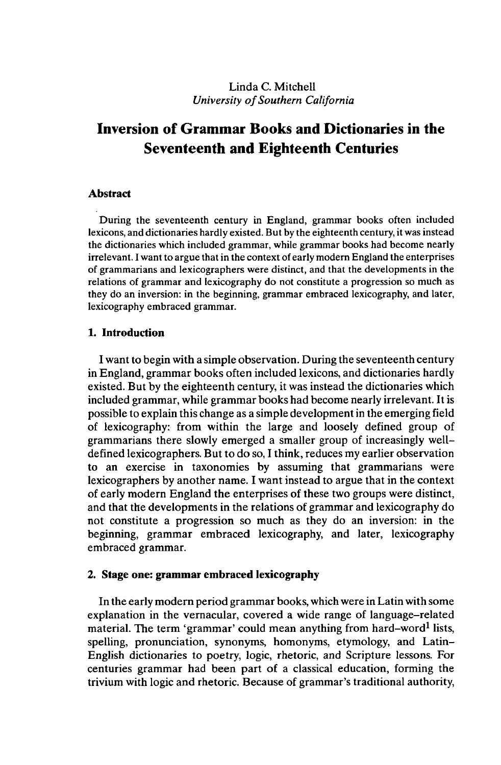# Linda C. Mitchell *University ofSouthern California*

# **Inversion of Grammar Books and Dictionaries in the Seventeenth and Eighteenth Centuries**

## **Abstract**

During the seventeenth century in England, grammar books often included lexicons, and dictionaries hardly existed. But by the eighteenth century, it was instead the dictionaries which included grammar, while grammar books had become nearly irrelevant. I want to argue that in the context of early modern England the enterprises of grammarians and lexicographers were distinct, and that the developments in the relations of grammar and lexicography do not constitute a progression so much as they do an inversion: in the beginning, grammar embraced lexicography, and later, lexicography embraced grammar.

## **1. Introduction**

**I** want to begin with a simple observation. During the seventeenth century in England, grammar books often included lexicons, and dictionaries hardly existed. But by the eighteenth century, it was instead the dictionaries which included grammar, while grammar books had become nearly irrelevant. It is possible to explain this change as a simple developmentin the emerging field of lexicography: from within the large and loosely defined group of grammarians there slowly emerged a smaller group of increasingly welldefined lexicographers. But to do so, I think, reduces my earlier observation to an exercise in taxonomies by assuming that grammarians were lexicographers by another name. I want instead to argue that in the context of early modern England the enterprises of these two groups were distinct, and that the developments in the relations of grammar and lexicography do not constitute a progression so much as they do an inversion: in the beginning, grammar embraced lexicography, and later, lexicography embraced grammar.

## **2. Stage one: grammar embraced lexicography**

In the early modern period grammar books, which were in Latin with some explanation in the vernacular, covered a wide range of language-related material. The term 'grammar' could mean anything from hard-word<sup>1</sup> lists, spelling, pronunciation, synonyms, homonyms, etymology, and Latin-English dictionaries to poetry, logic, rhetoric, and Scripture lessons. For centuries grammar had been part of a classical education, forming the trivium with logic and rhetoric. Because of grammar's traditional authority,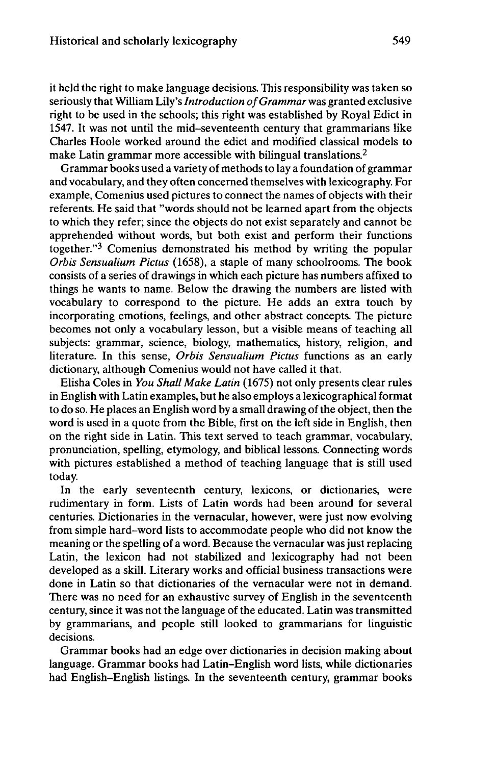it held the right to make language decisions. This responsibility was taken so seriously that William Lily's*Introduction ofGrammar* was granted exclusive right to be used in the schools; this right was established by Royal Edict in 1547. It was not until the mid-seventeenth century that grammarians like Charles Hoole worked around the edict and modified classical models to make Latin grammar more accessible with bilingual translations.<sup>2</sup>

Grammar books used a variety of methods to lay a foundation of grammar and vocabulary, and they often concerned themselves with lexicography. For example, Comenius used pictures to connect the names of objects with their referents. He said that "words should not be learned apart from the objects to which they refer; since the objects do not exist separately and cannot be apprehended without words, but both exist and perform their functions together."<sup>3</sup> Comenius demonstrated his method by writing the popular *Orbis Sensualium Pictus* (1658), a staple of many schoolrooms. The book consists of a series of drawings in which each picture has numbers affixed to things he wants to name. Below the drawing the numbers are listed with vocabulary to correspond to the picture. He adds an extra touch by incorporating emotions, feelings, and other abstract concepts. The picture becomes not only a vocabulary lesson, but a visible means of teaching all subjects: grammar, science, biology, mathematics, history, religion, and literature. In this sense, *Orbis Sensualium Pictus* functions as an early dictionary, although Comenius would not have called it that.

Elisha Coles in *You Shall Make Latin* (1675) not only presents clear rules in English with Latin examples, but he also employs a lexicographical format to do so. He places an English word by a small drawing of the object, then the word is used in a quote from the Bible, first on the left side in English, then on the right side in Latin. This text served to teach grammar, vocabulary, pronunciation, spelling, etymology, and biblical lessons. Connecting words with pictures established a method of teaching language that is still used today.

In the early seventeenth century, lexicons, or dictionaries, were rudimentary in form. Lists of Latin words had been around for several centuries. Dictionaries in the vernacular, however, were just now evolving from simple hard-word lists to accommodate people who did not know the meaning or the spelling of a word. Because the vernacular wasjust replacing Latin, the lexicon had not stabilized and lexicography had not been developed as a skill. Literary works and official business transactions were done in Latin so that dictionaries of the vernacular were not in demand. There was no need for an exhaustive survey of English in the seventeenth century, since it was not the language of the educated. Latin was transmitted by grammarians, and people still looked to grammarians for linguistic decisions.

Grammar books had an edge over dictionaries in decision making about language. Grammar books had Latin-English word lists, while dictionaries had English-English listings. In the seventeenth century, grammar books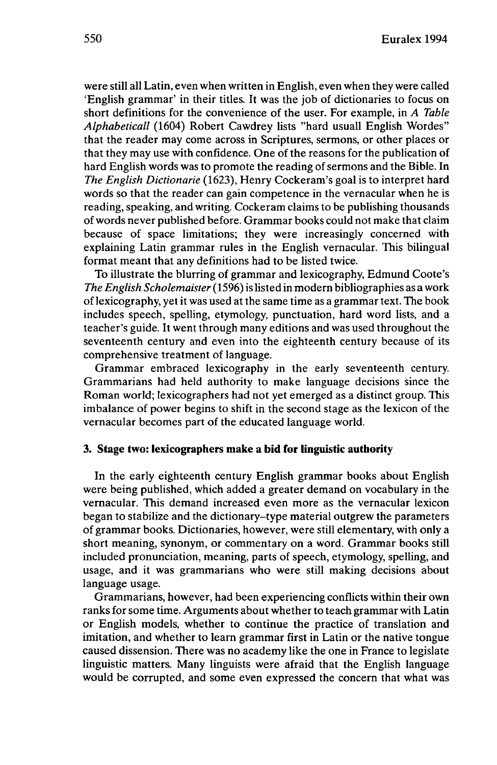were still all Latin, even when written in English, even when they were called 'English grammar' in their titles. It was the job of dictionaries to focus on short definitions for the convenience of the user. For example, in *A Table Alphabetical!* (1604) Robert Cawdrey lists "hard usuall English Wordes" that the reader may come across in Scriptures, sermons, or other places or that they may use with confidence. One of the reasons for the publication of hard English words was to promote the reading of sermons and the Bible. In *The English Dictionarie* (1623), Henry Cockeram's goal is to interpret hard words so that the reader can gain competence in the vernacular when he is reading, speaking, and writing. Cockeram claims to be publishing thousands of words never published before. Grammar books could not make that claim because of space limitations; they were increasingly concerned with explaining Latin grammar rules in the English vernacular. This bilingual format meant that any definitions had to be listed twice.

To illustrate the blurring of grammar and lexicography, Edmund Coote's *The English Scholemaister*(1596) is listed in modern bibliographies as a work oflexicography, yetit was used at the same time as a grammar text. The book includes speech, spelling, etymology, punctuation, hard word lists, and a teacher's guide. It went through many editions and was used throughout the seventeenth century and even into the eighteenth century because of its comprehensive treatment of language.

Grammar embraced lexicography in the early seventeenth century. Grammarians had held authority to make language decisions since the Roman world; lexicographers had not yet emerged as a distinct group. This imbalance of power begins to shift in the second stage as the lexicon of the vernacular becomes part of the educated language world.

### **3. Stage two: lexicographers make a bid for linguistic authority**

In the early eighteenth century English grammar books about English were being published, which added a greater demand on vocabulary in the vernacular. This demand increased even more as the vernacular lexicon began to stabilize and the dictionary-type material outgrew the parameters of grammar books. Dictionaries, however, were still elementary, with only a short meaning, synonym, or commentary on a word. Grammar books still included pronunciation, meaning, parts of speech, etymology, spelling, and usage, and it was grammarians who were still making decisions about language usage.

Grammarians, however, had been experiencing conflicts within their own ranks for some time. Arguments about whether to teach grammar with Latin or English models, whether to continue the practice of translation and imitation, and whether to learn grammar first in Latin or the native tongue caused dissension. There was no academy like the one in France to legislate linguistic matters. Many linguists were afraid that the English language would be corrupted, and some even expressed the concern that what was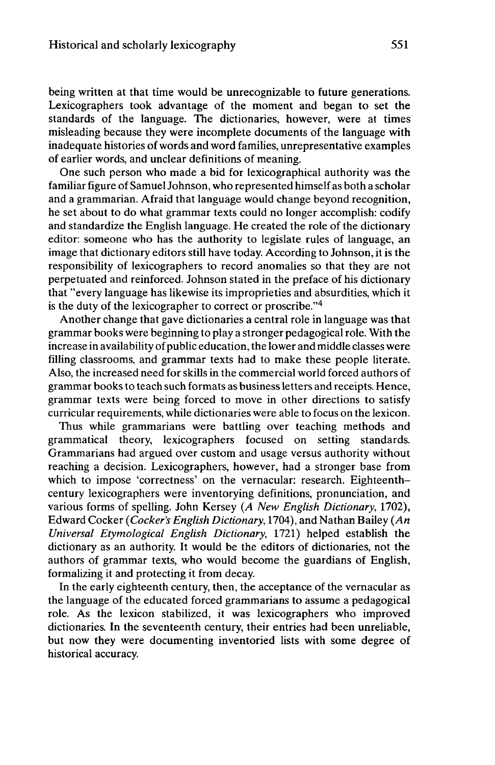being written at that time would be unrecognizable to future generations. Lexicographers took advantage of the moment and began to set the standards of the language. The dictionaries, however, were at times misleading because they were incomplete documents of the language with inadequate histories of words and word families, unrepresentative examples of earlier words, and unclear definitions of meaning.

One such person who made a bid for lexicographical authority was the familiar figure of Samuel Johnson, who represented himself as both a scholar and a grammarian. Afraid that language would change beyond recognition, he set about to do what grammar texts could no longer accomplish: codify and standardize the English language. He created the role of the dictionary editor: someone who has the authority to legislate rules of language, an image that dictionary editors still have today. According to Johnson, it is the responsibility of lexicographers to record anomalies so that they are not perpetuated and reinforced. Johnson stated in the preface of his dictionary that "every language has likewise its improprieties and absurdities, which it is the duty of the lexicographer to correct or proscribe."<sup>4</sup>

Another change that gave dictionaries a central role in language was that grammar books were beginning to play a stronger pedagogical role. With the increase in availability of public education, the lower and middle classes were filling classrooms, and grammar texts had to make these people literate. Also, the increased need for skills in the commercial world forced authors of grammar books to teach such formats as business letters and receipts. Hence, grammar texts were being forced to move in other directions to satisfy curricular requirements, while dictionaries were able to focus on the lexicon.

Thus while grammarians were battling over teaching methods and grammatical theory, lexicographers focused on setting standards. Grammarians had argued over custom and usage versus authority without reaching a decision. Lexicographers, however, had a stronger base from which to impose 'correctness' on the vernacular: research. Eighteenthcentury lexicographers were inventorying definitions, pronunciation, and various forms of spelling. John Kersey *(A New English Dictionary,* 1702), Edward Cocker *(Cocker's English Dictionary,* 1704), and Nathan Bailey *(An Universal Etymological English Dictionary,* 1721) helped establish the dictionary as an authority. It would be the editors of dictionaries, not the authors of grammar texts, who would become the guardians of English, formalizing it and protecting it from decay.

In the early eighteenth century, then, the acceptance of the vernacular as the language of the educated forced grammarians to assume a pedagogical role. As the lexicon stabilized, it was lexicographers who improved dictionaries. In the seventeenth century, their entries had been unreliable, but now they were documenting inventoried lists with some degree of historical accuracy.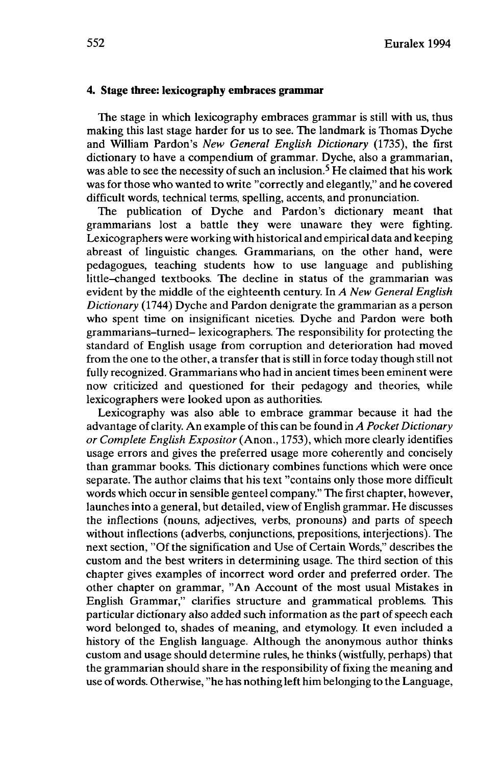## **4. Stage three: lexicography embraces grammar**

The stage in which lexicography embraces grammar is still with us, thus making this last stage harder for us to see. The landmark is Thomas Dyche and William Pardon's *New General English Dictionary* (1735), the first dictionary to have a compendium of grammar. Dyche, also a grammarian, was able to see the necessity of such an inclusion.<sup>5</sup> He claimed that his work was for those who wanted to write "correctly and elegantly," and he covered difficult words, technical terms, spelling, accents, and pronunciation.

The publication of Dyche and Pardon's dictionary meant that grammarians lost a battle they were unaware they were fighting. Lexicographers were working with historical and empirical data and keeping abreast of linguistic changes. Grammarians, on the other hand, were pedagogues, teaching students how to use language and publishing little-changed textbooks. The decline in status of the grammarian was evident by the middle of the eighteenth century. In *A New General English Dictionary* (1744) Dyche and Pardon denigrate the grammarian as a person who spent time on insignificant niceties. Dyche and Pardon were both grammarians-turned- lexicographers. The responsibility for protecting the standard of English usage from corruption and deterioration had moved from the one to the other, a transfer that is still in force today though still not fully recognized. Grammarians who had in ancient times been eminent were now criticized and questioned for their pedagogy and theories, while lexicographers were looked upon as authorities.

Lexicography was also able to embrace grammar because it had the advantage of clarity. An example of this can be found in *A Pocket Dictionary or Complete English Expositor* (Anon., 1753), which more clearly identifies usage errors and gives the preferred usage more coherently and concisely than grammar books. This dictionary combines functions which were once separate. The author claims that his text "contains only those more difficult words which occur in sensible genteel company." The first chapter, however, launches into a general, but detailed, view of English grammar. He discusses the inflections (nouns, adjectives, verbs, pronouns) and parts of speech without inflections (adverbs, conjunctions, prepositions, interjections). The next section, "Of the signification and Use of Certain Words," describes the custom and the best writers in determining usage. The third section of this chapter gives examples of incorrect word order and preferred order. The other chapter on grammar, "An Account of the most usual Mistakes in English Grammar," clarifies structure and grammatical problems. This particular dictionary also added such information as the part of speech each word belonged to, shades of meaning, and etymology. It even included a history of the English language. Although the anonymous author thinks custom and usage should determine rules, he thinks (wistfully, perhaps) that the grammarian should share in the responsibility of fixing the meaning and use ofwords. Otherwise, "he has nothing left him belonging to the Language,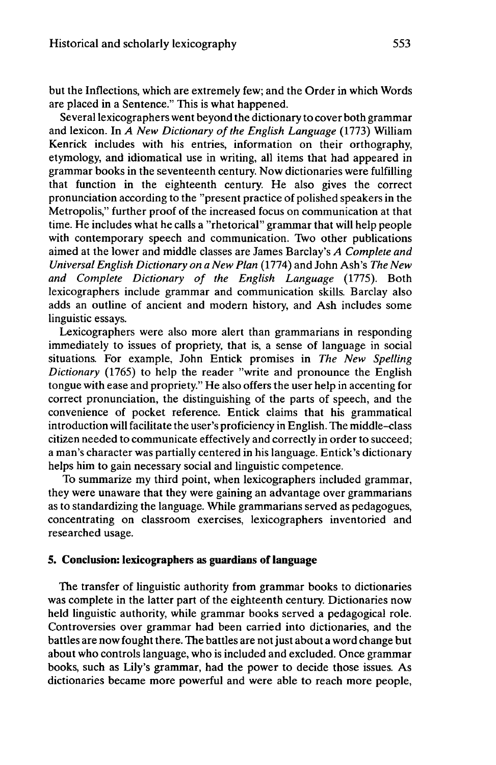but the Inflections, which are extremely few; and the Order in which Words are placed in a Sentence." This is what happened.

Several lexicographers went beyond the dictionary to cover both grammar and lexicon. In *A New Dictionary of the English Language* (1773) William Kenrick includes with his entries, information on their orthography, etymology, and idiomatical use in writing, all items that had appeared in grammar books in the seventeenth century. Now dictionaries were fulfilling that function in the eighteenth century. He also gives the correct pronunciation according to the "present practice of polished speakers in the Metropolis," further proof of the increased focus on communication at that time. He includes what he calls a "rhetorical" grammar that will help people with contemporary speech and communication. Two other publications aimed at the lower and middle classes are James Barclay's *A Complete and Universal English Dictionary on a New Plan* (1774) and John Ash's *The New and Complete Dictionary of the English Language* (1775). Both lexicographers include grammar and communication skills. Barclay also adds an outline of ancient and modern history, and Ash includes some linguistic essays.

Lexicographers were also more alert than grammarians in responding immediately to issues of propriety, that is, a sense of language in social situations. For example, John Entick promises in *The New Spelling Dictionary* (1765) to help the reader "write and pronounce the English tongue with ease and propriety." He also offers the user help in accenting for correct pronunciation, the distinguishing of the parts of speech, and the convenience of pocket reference. Entick claims that his grammatical introduction will facilitate the user's proficiency in English. The middle-class citizen needed to communicate effectively and correctly in order to succeed; a man's character was partially centered in his language. Entick's dictionary helps him to gain necessary social and linguistic competence.

To summarize my third point, when lexicographers included grammar, they were unaware that they were gaining an advantage over grammarians as to standardizing the language. While grammarians served as pedagogues, concentrating on classroom exercises, lexicographers inventoried and researched usage.

## **5. Conclusion: lexicographers as guardians of language**

The transfer of linguistic authority from grammar books to dictionaries was complete in the latter part of the eighteenth century. Dictionaries now held linguistic authority, while grammar books served a pedagogical role. Controversies over grammar had been carried into dictionaries, and the battles are now fought there. The battles are not just about a word change but about who controls language, who is included and excluded. Once grammar books, such as Lily's grammar, had the power to decide those issues. As dictionaries became more powerful and were able to reach more people,